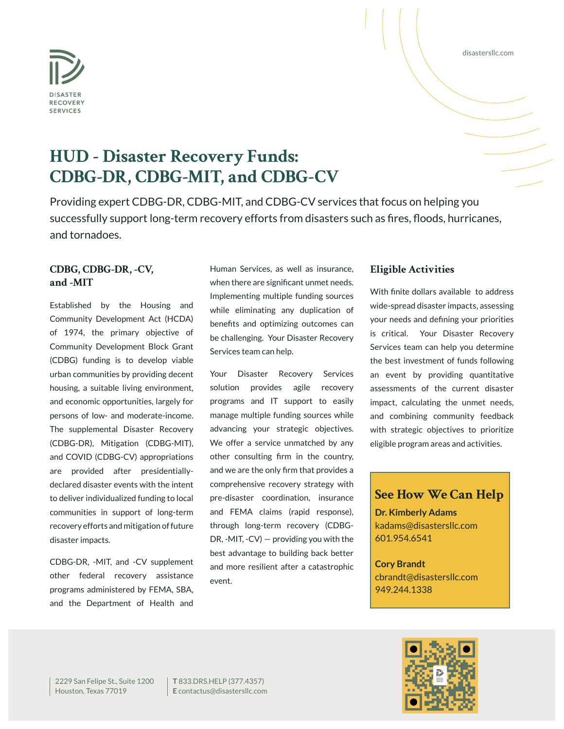

#### disastersllc.com

# **HUD - Disaster Recovery Funds: CDBG-DR, CDBG-MIT, and CDBG-CV**

Providing expert CDBG-DR, CDBG-MIT, and CDBG-CV services that focus on helping you successfully support long-term recovery efforts from disasters such as fires, floods, hurricanes, and tornadoes.

### **CDBG, CDBG-DR, -CV, and -MIT**

Established by the Housing and Community Development Act (HCDA) of 1974, the primary objective of Community Development Block Grant (CDBG) funding is to develop viable urban communities by providing decent housing, a suitable living environment, and economic opportunities, largely for persons of low- and moderate-income. The supplemental Disaster Recovery (CDBG-DR), Mitigation (CDBG-MIT), and COVID (CDBG-CV) appropriations are provided after presidentiallydeclared disaster events with the intent to deliver individualized funding to local communities in support of long-term recovery efforts and mitigation of future disaster impacts.

CDBG-DR, -MIT, and -CV supplement other federal recovery assistance programs administered by FEMA, SBA, and the Department of Health and

Human Services, as well as insurance, when there are significant unmet needs. Implementing multiple funding sources while eliminating any duplication of benefits and optimizing outcomes can be challenging. Your Disaster Recovery Services team can help.

Your Disaster Recovery Services solution provides agile recovery programs and IT support to easily manage multiple funding sources while advancing your strategic objectives. We offer a service unmatched by any other consulting firm in the country, and we are the only firm that provides a comprehensive recovery strategy with pre-disaster coordination, insurance and FEMA claims (rapid response), through long-term recovery (CDBG-DR, -MIT, -CV) — providing you with the best advantage to building back better and more resilient after a catastrophic event.

#### **Eligible Activities**

With finite dollars available to address wide-spread disaster impacts, assessing your needs and defining your priorities is critical. Your Disaster Recovery Services team can help you determine the best investment of funds following an event by providing quantitative assessments of the current disaster impact, calculating the unmet needs, and combining community feedback with strategic objectives to prioritize eligible program areas and activities.

## **See How We Can Help**

**Dr. Kimberly Adams** kadams@disastersllc.com 601.954.6541

**Cory Brandt** cbrandt@disastersllc.com 949.244.1338

2229 San Felipe St., Suite 1200 Houston, Texas 77019

**T** 833.DRS.HELP (377.4357) **E** contactus@disastersllc.com